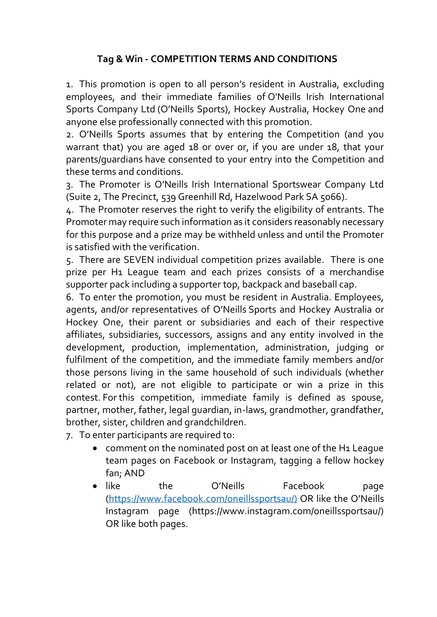## **Tag & Win - COMPETITION TERMS AND CONDITIONS**

1. This promotion is open to all person's resident in Australia, excluding employees, and their immediate families of O'Neills Irish International Sports Company Ltd (O'Neills Sports), Hockey Australia, Hockey One and anyone else professionally connected with this promotion.

2. O'Neills Sports assumes that by entering the Competition (and you warrant that) you are aged 18 or over or, if you are under 18, that your parents/guardians have consented to your entry into the Competition and these terms and conditions.

3. The Promoter is O'Neills Irish International Sportswear Company Ltd (Suite 2, The Precinct, 539 Greenhill Rd, Hazelwood Park SA 5066).

4. The Promoter reserves the right to verify the eligibility of entrants. The Promoter may require such information as it considers reasonably necessary for this purpose and a prize may be withheld unless and until the Promoter is satisfied with the verification.

5. There are SEVEN individual competition prizes available. There is one prize per H1 League team and each prizes consists of a merchandise supporter pack including a supporter top, backpack and baseball cap.

6. To enter the promotion, you must be resident in Australia. Employees, agents, and/or representatives of O'Neills Sports and Hockey Australia or Hockey One, their parent or subsidiaries and each of their respective affiliates, subsidiaries, successors, assigns and any entity involved in the development, production, implementation, administration, judging or fulfilment of the competition, and the immediate family members and/or those persons living in the same household of such individuals (whether related or not), are not eligible to participate or win a prize in this contest. For this competition, immediate family is defined as spouse, partner, mother, father, legal guardian, in-laws, grandmother, grandfather, brother, sister, children and grandchildren.

7. To enter participants are required to:

- comment on the nominated post on at least one of the H1 League team pages on Facebook or Instagram, tagging a fellow hockey fan; AND
- like the O'Neills Facebook page [\(https://www.facebook.com/oneillssportsau/\)](https://www.facebook.com/oneillssportsau/)) OR like the O'Neills Instagram page (https://www.instagram.com/oneillssportsau/) OR like both pages.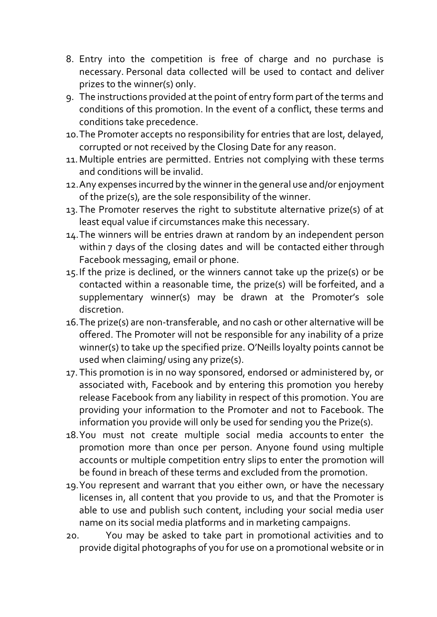- 8. Entry into the competition is free of charge and no purchase is necessary. Personal data collected will be used to contact and deliver prizes to the winner(s) only.
- 9. The instructions provided at the point of entry form part of the terms and conditions of this promotion. In the event of a conflict, these terms and conditions take precedence.
- 10.The Promoter accepts no responsibility for entries that are lost, delayed, corrupted or not received by the Closing Date for any reason.
- 11.Multiple entries are permitted. Entries not complying with these terms and conditions will be invalid.
- 12.Any expenses incurred by the winner in the general use and/or enjoyment of the prize(s), are the sole responsibility of the winner.
- 13.The Promoter reserves the right to substitute alternative prize(s) of at least equal value if circumstances make this necessary.
- 14.The winners will be entries drawn at random by an independent person within 7 days of the closing dates and will be contacted either through Facebook messaging, email or phone.
- 15.If the prize is declined, or the winners cannot take up the prize(s) or be contacted within a reasonable time, the prize(s) will be forfeited, and a supplementary winner(s) may be drawn at the Promoter's sole discretion.
- 16.The prize(s) are non-transferable, and no cash or other alternative will be offered. The Promoter will not be responsible for any inability of a prize winner(s) to take up the specified prize. O'Neills loyalty points cannot be used when claiming/ using any prize(s).
- 17. This promotion is in no way sponsored, endorsed or administered by, or associated with, Facebook and by entering this promotion you hereby release Facebook from any liability in respect of this promotion. You are providing your information to the Promoter and not to Facebook. The information you provide will only be used for sending you the Prize(s).
- 18.You must not create multiple social media accounts to enter the promotion more than once per person. Anyone found using multiple accounts or multiple competition entry slips to enter the promotion will be found in breach of these terms and excluded from the promotion.
- 19.You represent and warrant that you either own, or have the necessary licenses in, all content that you provide to us, and that the Promoter is able to use and publish such content, including your social media user name on its social media platforms and in marketing campaigns.
- 20. You may be asked to take part in promotional activities and to provide digital photographs of you for use on a promotional website or in